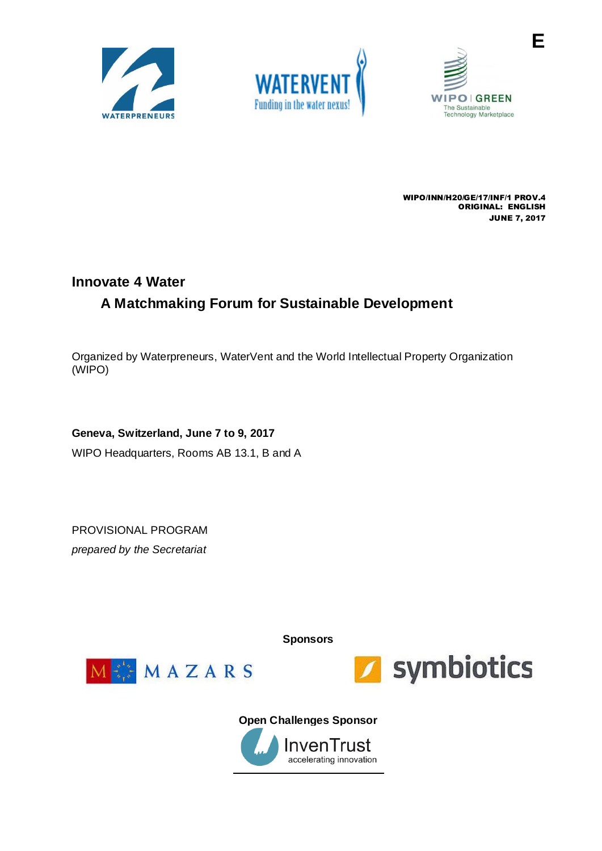





**E**

WIPO/INN/H20/GE/17/INF/1 PROV.4 ORIGINAL: ENGLISH JUNE 7, 2017

# **Innovate 4 Water A Matchmaking Forum for Sustainable Development**

Organized by Waterpreneurs, WaterVent and the World Intellectual Property Organization (WIPO)

## **Geneva, Switzerland, June 7 to 9, 2017**

WIPO Headquarters, Rooms AB 13.1, B and A

PROVISIONAL PROGRAM *prepared by the Secretariat*

**Sponsors**





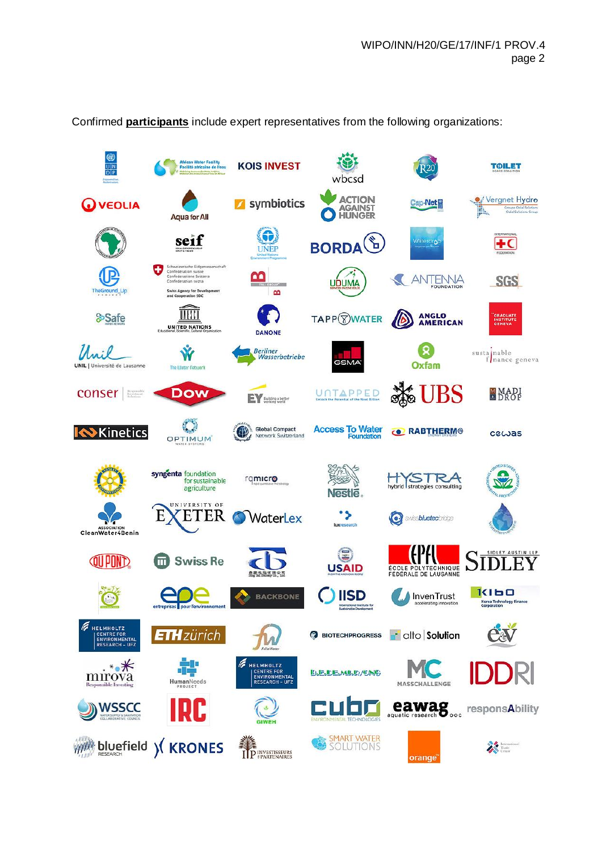**ON African Water Facility<br>Facilité africaine de l'eau KOIS INVEST TOILET** wbcsd **ACTION** Vergnet Hydro Cap-Net<sup>e</sup>  $\mathbb{C}$ symbiotics **Q** VEOLIA **AGAINST**<br>HUNGER **Aqua for All** G seif **BORDA Materdra**  $+<sup>c</sup>$ UNEP nfédération suisse<br>nfederazione Svizzer <u>ഹ</u> ANTENNA **SGS UDUMA** ency for Deve<br>eration SDC  $\mathbf{a}$ TIHH **ANGLO<br>AMERICAN** TAPP<sup>WATER</sup> &Safe GRADUATE<br>INSTITUTE<br>GENEVA UNITED NATIONS **DANONE** susta nable<br>f nance geneva Unil Ŵ Berliner<br>Wasserbetriebe (ହ GSMA Oxfam UNIL I Université de Lausanne The Water Network JBS MADI conser | **Dow** UNTAPPED **EV** Building a bette Ø C **Access To Water**<br>Foundation Global Compact **Kinetics** (4) **C RABTHERM®** cewas Network Switzerland OPTIMUM syngenta foundation<br>for sustainable hybrid strategies consulting rqmicro agriculture **Nestle ETER**  $\cdot$ E WaterLex **O** swiss**bluetec**bridge ASSOCIATION<br>CleanWater4Benin G **QUI POND m** Swiss Re .FY ÉCOLE POLYTECHNIQUE **USAID**  $\mathbf{k}$  $k$ leo **IISD BACKBONE** InvenTrust Korea Technology Financ International Institute for<br>Sustainable Development **HELMHOLTZ** CeV **ETH**zürich **d** alto **Solution BIOTECHPROGRESS** ENVIRONMENTAL M  $*_{\bullet}\mathbb{X}$ **HELMHOLTZ** CENTRE FOR<br>ENVIRONMENTAL<br>RESEARCH - UFZ **BJEJDEJMLD/CNG** mirova HumanNeeds MASSCHALLENGE eawag **WSSCC** responsAbility **SMART WATER**<br>SOLUTIONS WHAT bluefield ) (KRONES **ENGEREE AND REAL PROPERTY**  $\begin{picture}(120,140)(-4.0,0){\line(1,0){100}} \put(15,14){\line(1,0){100}} \put(15,14){\line(1,0){100}} \put(15,14){\line(1,0){100}} \put(15,14){\line(1,0){100}} \put(15,14){\line(1,0){100}} \put(15,14){\line(1,0){100}} \put(15,14){\line(1,0){100}} \put(15,14){\line(1,0){100}} \put(15,14){\line(1,0){100}} \put(15,14){$ orange

Confirmed **participants** include expert representatives from the following organizations: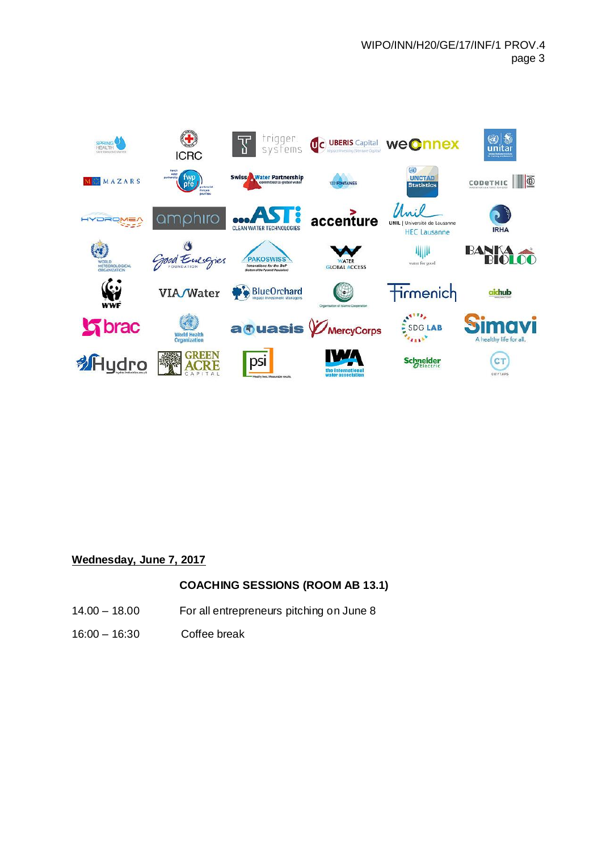

## **Wednesday, June 7, 2017**

## **COACHING SESSIONS (ROOM AB 13.1)**

- 14.00 18.00 For all entrepreneurs pitching on June 8
- 16:00 16:30 Coffee break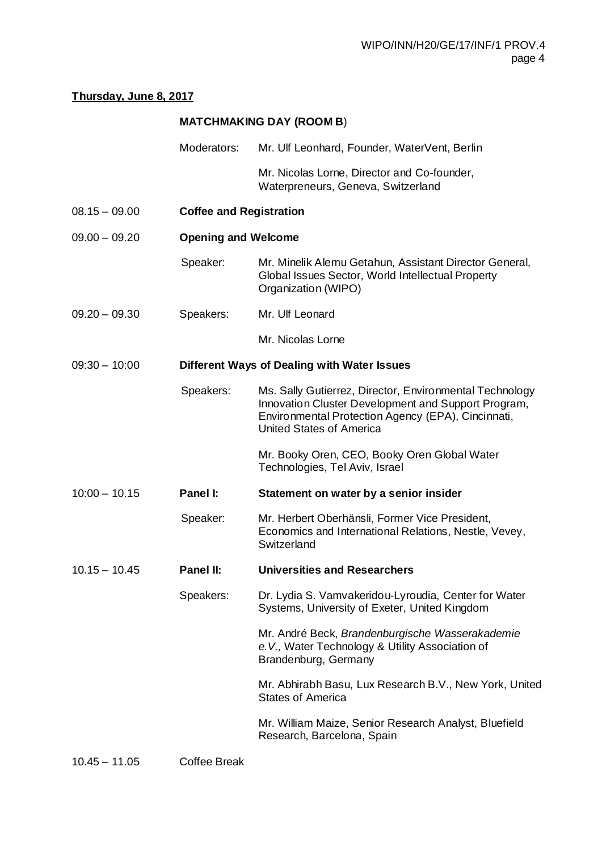## **Thursday, June 8, 2017**

## **MATCHMAKING DAY (ROOM B**)

Moderators: Mr. Ulf Leonhard, Founder, WaterVent, Berlin

Mr. Nicolas Lorne, Director and Co-founder, Waterpreneurs, Geneva, Switzerland

- 08.15 09.00 **Coffee and Registration**
- 09.00 09.20 **Opening and Welcome**
	- Speaker: Mr. Minelik Alemu Getahun, Assistant Director General, Global Issues Sector, World Intellectual Property Organization (WIPO)
- 09.20 09.30 Speakers: Mr. Ulf Leonard
	- Mr. Nicolas Lorne

#### 09:30 – 10:00 **Different Ways of Dealing with Water Issues**

Speakers: Ms. Sally Gutierrez, Director, Environmental Technology Innovation Cluster Development and Support Program, Environmental Protection Agency (EPA), Cincinnati, United States of America

> Mr. Booky Oren, CEO, Booky Oren Global Water Technologies, Tel Aviv, Israel

- 10:00 10.15 **Panel I: Statement on water by a senior insider**
	- Speaker: Mr. Herbert Oberhänsli, Former Vice President, Economics and International Relations, Nestle, Vevey, Switzerland
- 10.15 10.45 **Panel II: Universities and Researchers**
	- Speakers: Dr. Lydia S. Vamvakeridou-Lyroudia, Center for Water Systems, University of Exeter, United Kingdom

Mr. André Beck, *Brandenburgische Wasserakademie e.V.,* Water Technology & Utility Association of Brandenburg, Germany

Mr. Abhirabh Basu, Lux Research B.V., New York, United States of America

Mr. William Maize, Senior Research Analyst, Bluefield Research, Barcelona, Spain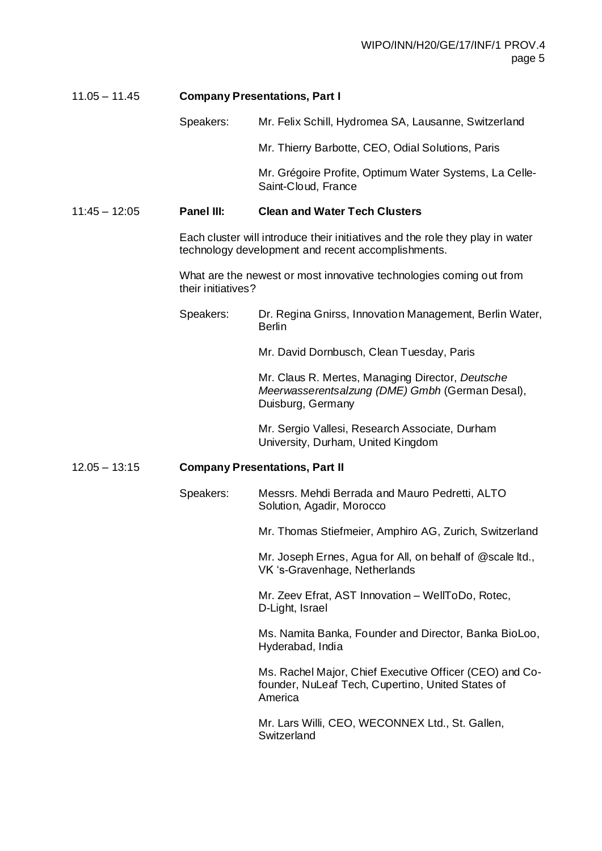## 11.05 – 11.45 **Company Presentations, Part I**

Speakers: Mr. Felix Schill, Hydromea SA, Lausanne, Switzerland

Mr. Thierry Barbotte, CEO, Odial Solutions, Paris

Mr. Grégoire Profite, Optimum Water Systems, La Celle-Saint-Cloud, France

#### 11:45 – 12:05 **Panel III: Clean and Water Tech Clusters**

Each cluster will introduce their initiatives and the role they play in water technology development and recent accomplishments.

What are the newest or most innovative technologies coming out from their initiatives?

Speakers: Dr. Regina Gnirss, Innovation Management, Berlin Water, **Berlin** 

Mr. David Dornbusch, Clean Tuesday, Paris

Mr. Claus R. Mertes, Managing Director, *Deutsche Meerwasserentsalzung (DME) Gmbh* (German Desal), Duisburg, Germany

Mr. Sergio Vallesi, Research Associate, Durham University, Durham, United Kingdom

#### 12.05 – 13:15 **Company Presentations, Part II**

Speakers: Messrs. Mehdi Berrada and Mauro Pedretti, ALTO Solution, Agadir, Morocco

Mr. Thomas Stiefmeier, Amphiro AG, Zurich, Switzerland

Mr. Joseph Ernes, Agua for All, on behalf of @scale ltd., VK 's-Gravenhage, Netherlands

Mr. Zeev Efrat, AST Innovation – WellToDo, Rotec, D-Light, Israel

Ms. Namita Banka, Founder and Director, Banka BioLoo, Hyderabad, India

Ms. Rachel Major, Chief Executive Officer (CEO) and Cofounder, NuLeaf Tech, Cupertino, United States of America

Mr. Lars Willi, CEO, WECONNEX Ltd., St. Gallen, **Switzerland**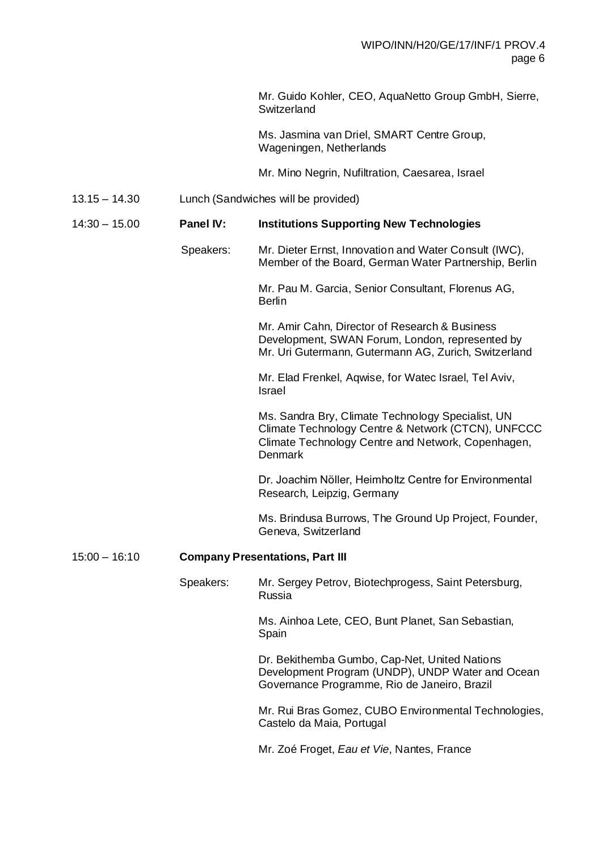Mr. Guido Kohler, CEO, AquaNetto Group GmbH, Sierre, Switzerland Ms. Jasmina van Driel, SMART Centre Group, Wageningen, Netherlands Mr. Mino Negrin, Nufiltration, Caesarea, Israel 13.15 – 14.30 Lunch (Sandwiches will be provided) 14:30 – 15.00 **Panel IV: Institutions Supporting New Technologies** Speakers: Mr. Dieter Ernst, Innovation and Water Consult (IWC), Member of the Board, German Water Partnership, Berlin Mr. Pau M. Garcia, Senior Consultant, Florenus AG, Berlin Mr. Amir Cahn, Director of Research & Business Development, SWAN Forum, London, represented by Mr. Uri Gutermann, Gutermann AG, Zurich, Switzerland Mr. Elad Frenkel, Aqwise, for Watec Israel, Tel Aviv, Israel Ms. Sandra Bry, Climate Technology Specialist, UN Climate Technology Centre & Network (CTCN), UNFCCC Climate Technology Centre and Network, Copenhagen, Denmark Dr. Joachim Nӧller, Heimholtz Centre for Environmental Research, Leipzig, Germany Ms. Brindusa Burrows, The Ground Up Project, Founder, Geneva, Switzerland 15:00 – 16:10 **Company Presentations, Part III** Speakers: Mr. Sergey Petrov, Biotechprogess, Saint Petersburg, Russia Ms. Ainhoa Lete, CEO, Bunt Planet, San Sebastian, Spain Dr. Bekithemba Gumbo, Cap-Net, United Nations Development Program (UNDP), UNDP Water and Ocean Governance Programme, Rio de Janeiro, Brazil Mr. Rui Bras Gomez, CUBO Environmental Technologies, Castelo da Maia, Portugal

Mr. Zoé Froget, *Eau et Vie*, Nantes, France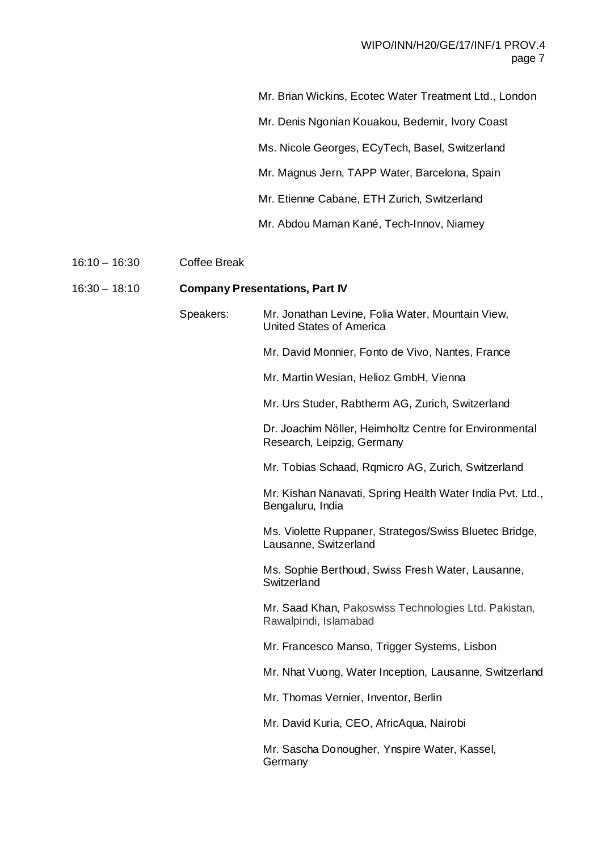Mr. Brian Wickins, Ecotec Water Treatment Ltd., London Mr. Denis Ngonian Kouakou, Bedemir, Ivory Coast Ms. Nicole Georges, ECyTech, Basel, Switzerland

Mr. Magnus Jern, TAPP Water, Barcelona, Spain

Mr. Etienne Cabane, ETH Zurich, Switzerland

Mr. Abdou Maman Kané, Tech-Innov, Niamey

## 16:10 – 16:30 Coffee Break

## 16:30 – 18:10 **Company Presentations, Part IV**

Speakers: Mr. Jonathan Levine, Folia Water, Mountain View, United States of America Mr. David Monnier, Fonto de Vivo, Nantes, France Mr. Martin Wesian, Helioz GmbH, Vienna Mr. Urs Studer, Rabtherm AG, Zurich, Switzerland Dr. Joachim Nӧller, Heimholtz Centre for Environmental Research, Leipzig, Germany Mr. Tobias Schaad, Rqmicro AG, Zurich, Switzerland Mr. Kishan Nanavati, Spring Health Water India Pvt. Ltd., Bengaluru, India Ms. Violette Ruppaner, Strategos/Swiss Bluetec Bridge, Lausanne, Switzerland Ms. Sophie Berthoud, Swiss Fresh Water, Lausanne, Switzerland Mr. Saad Khan, Pakoswiss Technologies Ltd. Pakistan, Rawalpindi, Islamabad Mr. Francesco Manso, Trigger Systems, Lisbon Mr. Nhat Vuong, Water Inception, Lausanne, Switzerland Mr. Thomas Vernier, Inventor, Berlin Mr. David Kuria, CEO, AfricAqua, Nairobi Mr. Sascha Donougher, Ynspire Water, Kassel, **Germany**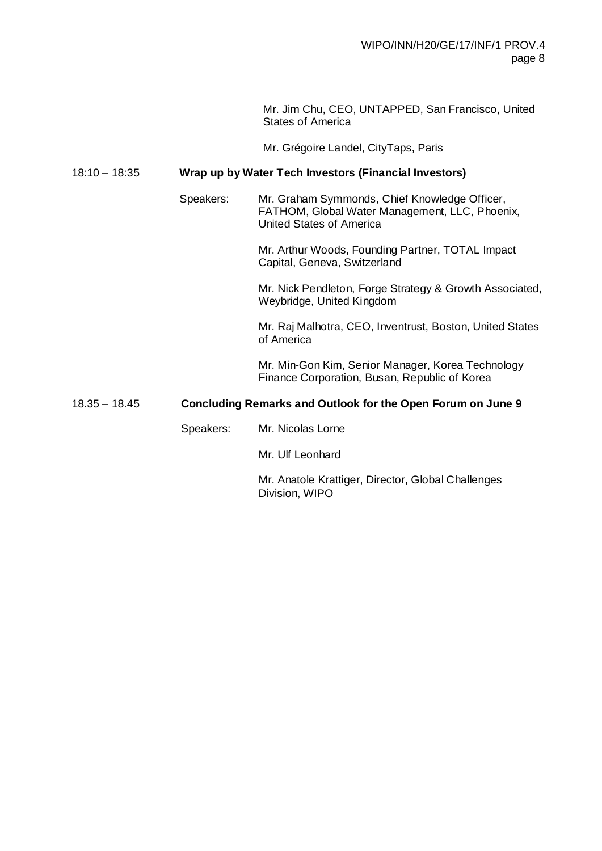Mr. Jim Chu, CEO, UNTAPPED, San Francisco, United States of America

Mr. Grégoire Landel, CityTaps, Paris

## 18:10 – 18:35 **Wrap up by Water Tech Investors (Financial Investors)**

Speakers: Mr. Graham Symmonds, Chief Knowledge Officer, FATHOM, Global Water Management, LLC, Phoenix, United States of America

> Mr. Arthur Woods, Founding Partner, TOTAL Impact Capital, Geneva, Switzerland

Mr. Nick Pendleton, Forge Strategy & Growth Associated, Weybridge, United Kingdom

Mr. Raj Malhotra, CEO, Inventrust, Boston, United States of America

Mr. Min-Gon Kim, Senior Manager, Korea Technology Finance Corporation, Busan, Republic of Korea

#### 18.35 – 18.45 **Concluding Remarks and Outlook for the Open Forum on June 9**

Speakers: Mr. Nicolas Lorne

Mr. Ulf Leonhard

Mr. Anatole Krattiger, Director, Global Challenges Division, WIPO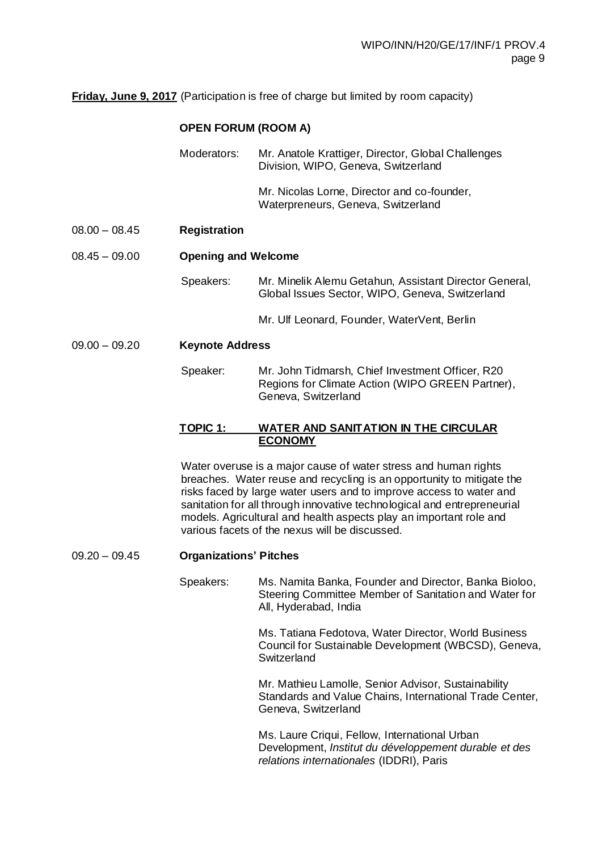**Friday, June 9, 2017** (Participation is free of charge but limited by room capacity)

## **OPEN FORUM (ROOM A)**

|                 | Moderators:                | Mr. Anatole Krattiger, Director, Global Challenges<br>Division, WIPO, Geneva, Switzerland                 |  |
|-----------------|----------------------------|-----------------------------------------------------------------------------------------------------------|--|
|                 |                            | Mr. Nicolas Lorne, Director and co-founder,<br>Waterpreneurs, Geneva, Switzerland                         |  |
| $08.00 - 08.45$ | <b>Registration</b>        |                                                                                                           |  |
| $08.45 - 09.00$ | <b>Opening and Welcome</b> |                                                                                                           |  |
|                 | Speakers:                  | Mr. Minelik Alemu Getahun, Assistant Director General,<br>Global Issues Sector, WIPO, Geneva, Switzerland |  |

Mr. Ulf Leonard, Founder, WaterVent, Berlin

09.00 – 09.20 **Keynote Address**

Speaker: Mr. John Tidmarsh, Chief Investment Officer, R20 Regions for Climate Action (WIPO GREEN Partner), Geneva, Switzerland

#### **TOPIC 1: WATER AND SANITATION IN THE CIRCULAR ECONOMY**

Water overuse is a major cause of water stress and human rights breaches. Water reuse and recycling is an opportunity to mitigate the risks faced by large water users and to improve access to water and sanitation for all through innovative technological and entrepreneurial models. Agricultural and health aspects play an important role and various facets of the nexus will be discussed.

09.20 – 09.45 **Organizations' Pitches** 

Speakers: Ms. Namita Banka, Founder and Director, Banka Bioloo, Steering Committee Member of Sanitation and Water for All, Hyderabad, India

> Ms. Tatiana Fedotova, Water Director, World Business Council for Sustainable Development (WBCSD), Geneva, **Switzerland**

> Mr. Mathieu Lamolle, Senior Advisor, Sustainability Standards and Value Chains, International Trade Center, Geneva, Switzerland

Ms. Laure Criqui, Fellow, International Urban Development, *Institut du développement durable et des relations internationales* (IDDRI), Paris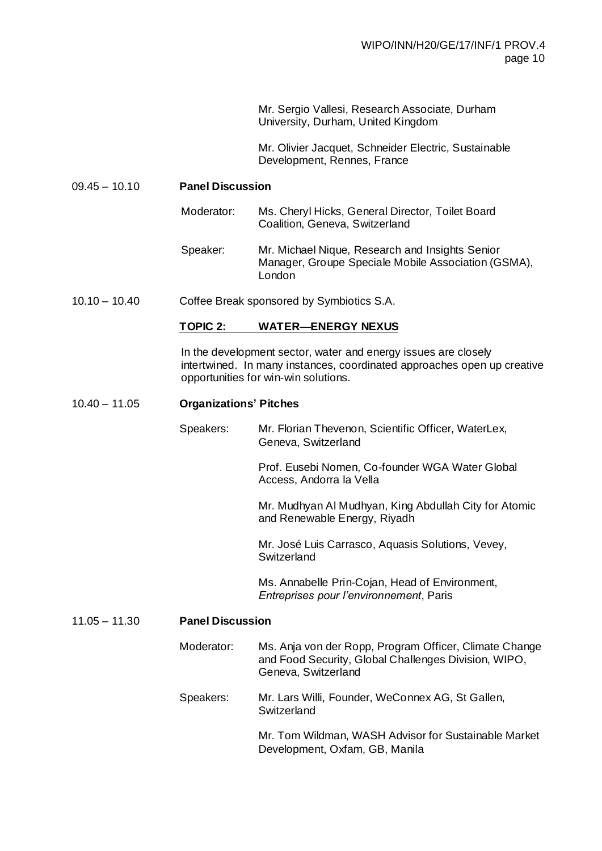Mr. Sergio Vallesi, Research Associate, Durham University, Durham, United Kingdom

Mr. Olivier Jacquet, Schneider Electric, Sustainable Development, Rennes, France

#### 09.45 – 10.10 **Panel Discussion**

| Moderator: | Ms. Cheryl Hicks, General Director, Toilet Board<br>Coalition, Geneva, Switzerland                     |
|------------|--------------------------------------------------------------------------------------------------------|
| Speaker:   | Mr. Michael Nique, Research and Insights Senior<br>Manager, Groupe Speciale Mobile Association (GSMA), |

10.10 – 10.40 Coffee Break sponsored by Symbiotics S.A.

#### **TOPIC 2: WATER—ENERGY NEXUS**

London

In the development sector, water and energy issues are closely intertwined. In many instances, coordinated approaches open up creative opportunities for win-win solutions.

#### 10.40 – 11.05 **Organizations' Pitches**

Speakers: Mr. Florian Thevenon, Scientific Officer, WaterLex, Geneva, Switzerland

> Prof. Eusebi Nomen, Co-founder WGA Water Global Access, Andorra la Vella

Mr. Mudhyan Al Mudhyan, King Abdullah City for Atomic and Renewable Energy, Riyadh

Mr. José Luis Carrasco, Aquasis Solutions, Vevey, **Switzerland** 

Ms. Annabelle Prin-Cojan, Head of Environment, *Entreprises pour l'environnement*, Paris

#### 11.05 – 11.30 **Panel Discussion**

Moderator: Ms. Anja von der Ropp, Program Officer, Climate Change and Food Security, Global Challenges Division, WIPO, Geneva, Switzerland Speakers: Mr. Lars Willi, Founder, WeConnex AG, St Gallen, **Switzerland** Mr. Tom Wildman, WASH Advisor for Sustainable Market

Development, Oxfam, GB, Manila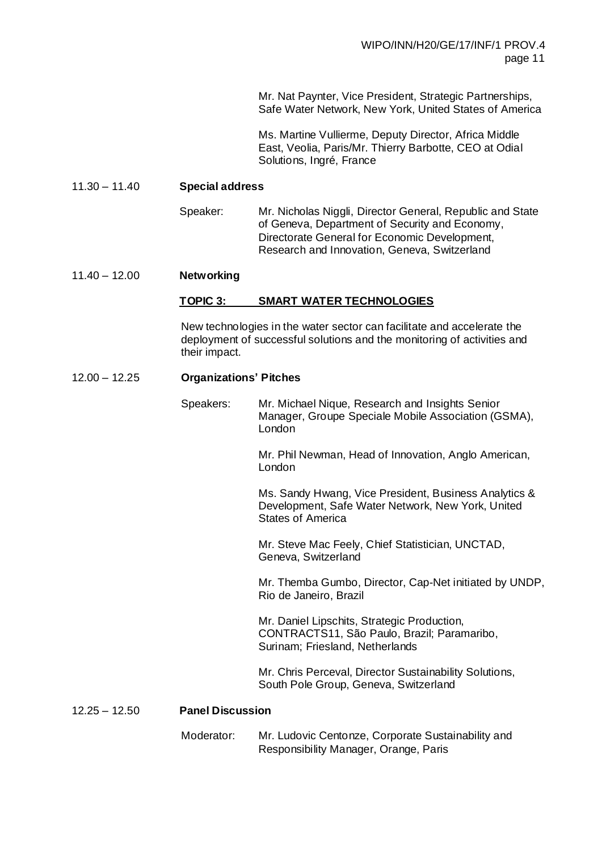Mr. Nat Paynter, Vice President, Strategic Partnerships, Safe Water Network, New York, United States of America

Ms. Martine Vullierme, Deputy Director, Africa Middle East, Veolia, Paris/Mr. Thierry Barbotte, CEO at Odial Solutions, Ingré, France

#### 11.30 – 11.40 **Special address**

Speaker: Mr. Nicholas Niggli, Director General, Republic and State of Geneva, Department of Security and Economy, Directorate General for Economic Development, Research and Innovation, Geneva, Switzerland

#### 11.40 – 12.00 **Networking**

#### **TOPIC 3: SMART WATER TECHNOLOGIES**

New technologies in the water sector can facilitate and accelerate the deployment of successful solutions and the monitoring of activities and their impact.

#### 12.00 – 12.25 **Organizations' Pitches**

Speakers: Mr. Michael Nique, Research and Insights Senior Manager, Groupe Speciale Mobile Association (GSMA), London

> Mr. Phil Newman, Head of Innovation, Anglo American, London

Ms. Sandy Hwang, Vice President, Business Analytics & Development, Safe Water Network, New York, United States of America

Mr. Steve Mac Feely, Chief Statistician, UNCTAD, Geneva, Switzerland

Mr. Themba Gumbo, Director, Cap-Net initiated by UNDP, Rio de Janeiro, Brazil

Mr. Daniel Lipschits, Strategic Production, CONTRACTS11, São Paulo, Brazil; Paramaribo, Surinam; Friesland, Netherlands

Mr. Chris Perceval, Director Sustainability Solutions, South Pole Group, Geneva, Switzerland

#### 12.25 – 12.50 **Panel Discussion**

Moderator: Mr. Ludovic Centonze, Corporate Sustainability and Responsibility Manager, Orange, Paris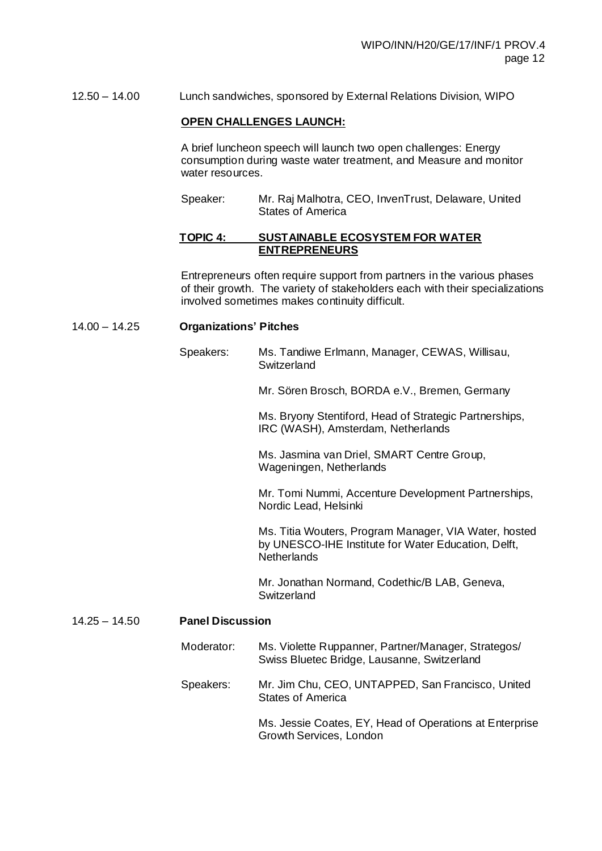12.50 – 14.00 Lunch sandwiches, sponsored by External Relations Division, WIPO

#### **OPEN CHALLENGES LAUNCH:**

A brief luncheon speech will launch two open challenges: Energy consumption during waste water treatment, and Measure and monitor water resources.

Speaker: Mr. Raj Malhotra, CEO, InvenTrust, Delaware, United States of America

#### **TOPIC 4: SUSTAINABLE ECOSYSTEM FOR WATER ENTREPRENEURS**

Entrepreneurs often require support from partners in the various phases of their growth. The variety of stakeholders each with their specializations involved sometimes makes continuity difficult.

#### 14.00 – 14.25 **Organizations' Pitches**

Speakers: Ms. Tandiwe Erlmann, Manager, CEWAS, Willisau, **Switzerland** 

Mr. Sören Brosch, BORDA e.V., Bremen, Germany

Ms. Bryony Stentiford, Head of Strategic Partnerships, IRC (WASH), Amsterdam, Netherlands

Ms. Jasmina van Driel, SMART Centre Group, Wageningen, Netherlands

Mr. Tomi Nummi, Accenture Development Partnerships, Nordic Lead, Helsinki

Ms. Titia Wouters, Program Manager, VIA Water, hosted by UNESCO-IHE Institute for Water Education, Delft, **Netherlands** 

Mr. Jonathan Normand, Codethic/B LAB, Geneva, Switzerland

#### 14.25 – 14.50 **Panel Discussion**

- Moderator: Ms. Violette Ruppanner, Partner/Manager, Strategos/ Swiss Bluetec Bridge, Lausanne, Switzerland
- Speakers: Mr. Jim Chu, CEO, UNTAPPED, San Francisco, United States of America

Ms. Jessie Coates, EY, Head of Operations at Enterprise Growth Services, London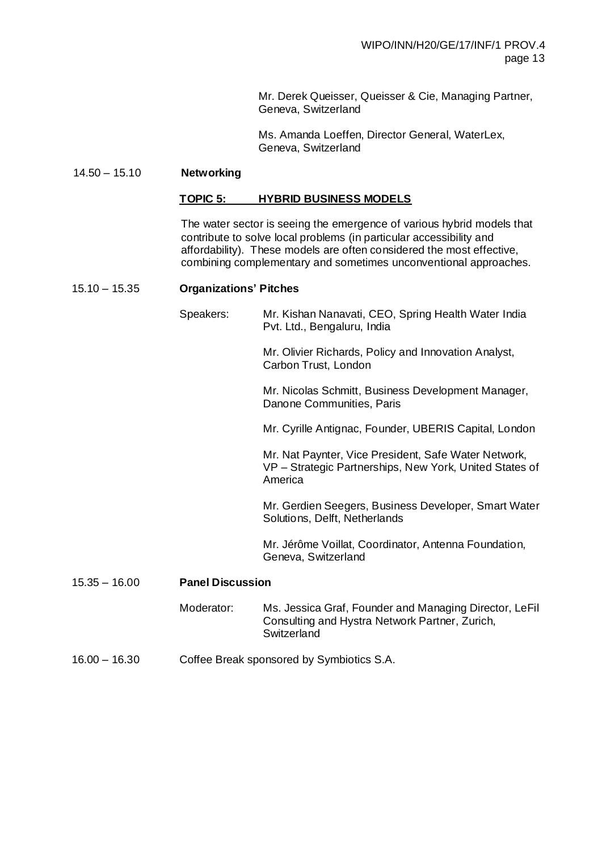Mr. Derek Queisser, Queisser & Cie, Managing Partner, Geneva, Switzerland

Ms. Amanda Loeffen, Director General, WaterLex, Geneva, Switzerland

#### 14.50 – 15.10 **Networking**

#### **TOPIC 5: HYBRID BUSINESS MODELS**

The water sector is seeing the emergence of various hybrid models that contribute to solve local problems (in particular accessibility and affordability). These models are often considered the most effective, combining complementary and sometimes unconventional approaches.

#### 15.10 – 15.35 **Organizations' Pitches**

|                 | Speakers:                                 | Mr. Kishan Nanavati, CEO, Spring Health Water India<br>Pvt. Ltd., Bengaluru, India                                         |
|-----------------|-------------------------------------------|----------------------------------------------------------------------------------------------------------------------------|
|                 |                                           | Mr. Olivier Richards, Policy and Innovation Analyst,<br>Carbon Trust, London                                               |
|                 |                                           | Mr. Nicolas Schmitt, Business Development Manager,<br>Danone Communities, Paris                                            |
|                 |                                           | Mr. Cyrille Antignac, Founder, UBERIS Capital, London                                                                      |
|                 |                                           | Mr. Nat Paynter, Vice President, Safe Water Network,<br>VP - Strategic Partnerships, New York, United States of<br>America |
|                 |                                           | Mr. Gerdien Seegers, Business Developer, Smart Water<br>Solutions, Delft, Netherlands                                      |
|                 |                                           | Mr. Jérôme Voillat, Coordinator, Antenna Foundation,<br>Geneva, Switzerland                                                |
| $15.35 - 16.00$ | <b>Panel Discussion</b>                   |                                                                                                                            |
|                 | Moderator:                                | Ms. Jessica Graf, Founder and Managing Director, LeFil<br>Consulting and Hystra Network Partner, Zurich,<br>Switzerland    |
| $16.00 - 16.30$ | Coffee Break sponsored by Symbiotics S.A. |                                                                                                                            |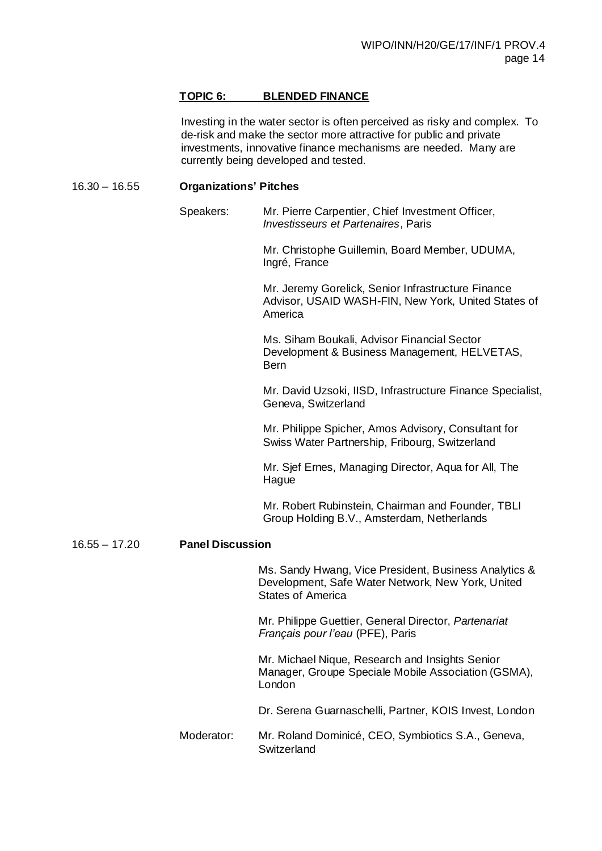#### **TOPIC 6: BLENDED FINANCE**

Investing in the water sector is often perceived as risky and complex. To de-risk and make the sector more attractive for public and private investments, innovative finance mechanisms are needed. Many are currently being developed and tested.

#### 16.30 – 16.55 **Organizations' Pitches**

Speakers: Mr. Pierre Carpentier, Chief Investment Officer, *Investisseurs et Partenaires*, Paris

> Mr. Christophe Guillemin, Board Member, UDUMA, Ingré, France

Mr. Jeremy Gorelick, Senior Infrastructure Finance Advisor, USAID WASH-FIN, New York, United States of America

Ms. Siham Boukali, Advisor Financial Sector Development & Business Management, HELVETAS, Bern

Mr. David Uzsoki, IISD, Infrastructure Finance Specialist, Geneva, Switzerland

Mr. Philippe Spicher, Amos Advisory, Consultant for Swiss Water Partnership, Fribourg, Switzerland

Mr. Sjef Ernes, Managing Director, Aqua for All, The Hague

Mr. Robert Rubinstein, Chairman and Founder, TBLI Group Holding B.V., Amsterdam, Netherlands

#### 16.55 – 17.20 **Panel Discussion**

Ms. Sandy Hwang, Vice President, Business Analytics & Development, Safe Water Network, New York, United States of America

Mr. Philippe Guettier, General Director, *Partenariat Français pour l'eau* (PFE), Paris

Mr. Michael Nique, Research and Insights Senior Manager, Groupe Speciale Mobile Association (GSMA), London

Dr. Serena Guarnaschelli, Partner, KOIS Invest, London

Moderator: Mr. Roland Dominicé, CEO, Symbiotics S.A., Geneva, **Switzerland**